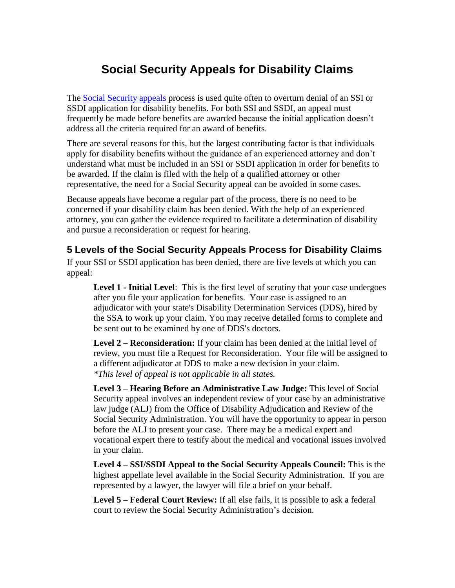## **Social Security Appeals for Disability Claims**

The [Social Security appeals](http://usadisabilitylaw.com/illinois-social-security-disability-attorney) process is used quite often to overturn denial of an SSI or SSDI application for disability benefits. For both SSI and SSDI, an appeal must frequently be made before benefits are awarded because the initial application doesn't address all the criteria required for an award of benefits.

There are several reasons for this, but the largest contributing factor is that individuals apply for disability benefits without the guidance of an experienced attorney and don't understand what must be included in an SSI or SSDI application in order for benefits to be awarded. If the claim is filed with the help of a qualified attorney or other representative, the need for a Social Security appeal can be avoided in some cases.

Because appeals have become a regular part of the process, there is no need to be concerned if your disability claim has been denied. With the help of an experienced attorney, you can gather the evidence required to facilitate a determination of disability and pursue a reconsideration or request for hearing.

## **5 Levels of the Social Security Appeals Process for Disability Claims**

If your SSI or SSDI application has been denied, there are five levels at which you can appeal:

**Level 1 - Initial Level**: This is the first level of scrutiny that your case undergoes after you file your application for benefits. Your case is assigned to an adjudicator with your state's Disability Determination Services (DDS), hired by the SSA to work up your claim. You may receive detailed forms to complete and be sent out to be examined by one of DDS's doctors.

**Level 2 – Reconsideration:** If your claim has been denied at the initial level of review, you must file a Request for Reconsideration. Your file will be assigned to a different adjudicator at DDS to make a new decision in your claim. *\*This level of appeal is not applicable in all states.*

**Level 3 – Hearing Before an Administrative Law Judge:** This level of Social Security appeal involves an independent review of your case by an administrative law judge (ALJ) from the Office of Disability Adjudication and Review of the Social Security Administration. You will have the opportunity to appear in person before the ALJ to present your case. There may be a medical expert and vocational expert there to testify about the medical and vocational issues involved in your claim.

**Level 4 – SSI/SSDI Appeal to the Social Security Appeals Council:** This is the highest appellate level available in the Social Security Administration. If you are represented by a lawyer, the lawyer will file a brief on your behalf.

**Level 5 – Federal Court Review:** If all else fails, it is possible to ask a federal court to review the Social Security Administration's decision.